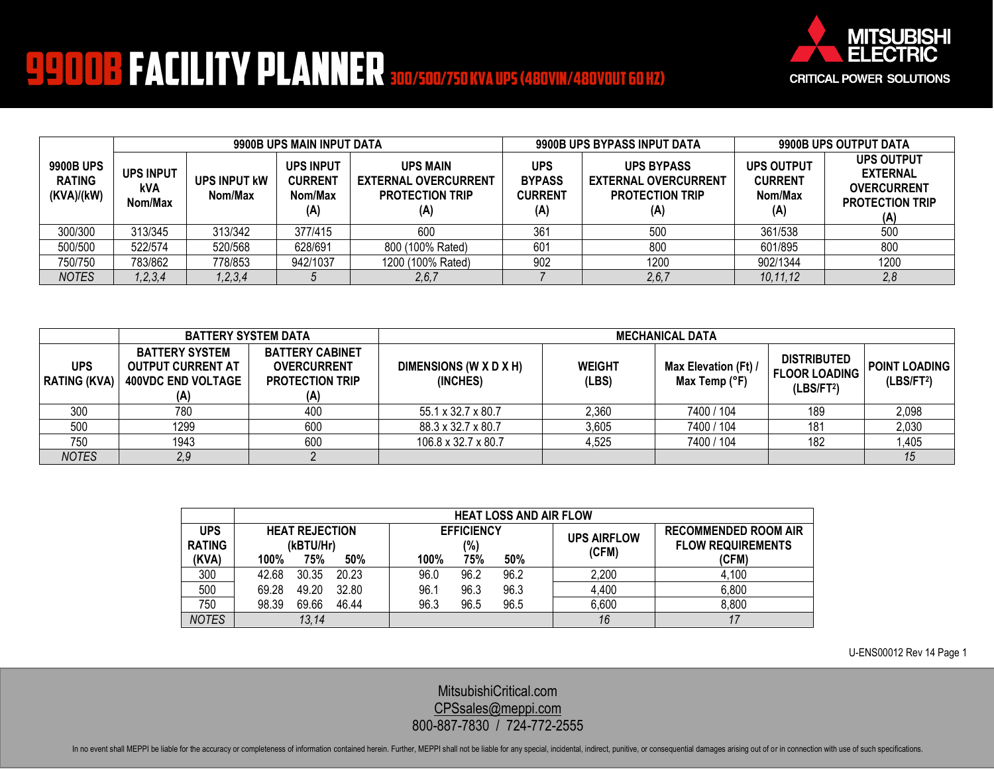

## **9900B FACILITY PLANNER 300/500/750 KVA UPS (480VIN/480VOUT 60 HZ)**

|                                          | 9900B UPS MAIN INPUT DATA          |                         |                                                                                                                                         |                   | 9900B UPS BYPASS INPUT DATA                          |                                                                                   | 9900B UPS OUTPUT DATA |                                                                                             |
|------------------------------------------|------------------------------------|-------------------------|-----------------------------------------------------------------------------------------------------------------------------------------|-------------------|------------------------------------------------------|-----------------------------------------------------------------------------------|-----------------------|---------------------------------------------------------------------------------------------|
| 9900B UPS<br><b>RATING</b><br>(KVA)/(kW) | <b>UPS INPUT</b><br>kVA<br>Nom/Max | UPS INPUT KW<br>Nom/Max | <b>UPS INPUT</b><br><b>UPS MAIN</b><br><b>CURRENT</b><br><b>EXTERNAL OVERCURRENT</b><br><b>PROTECTION TRIP</b><br>Nom/Max<br>(A)<br>(A) |                   | <b>UPS</b><br><b>BYPASS</b><br><b>CURRENT</b><br>(A) | <b>UPS BYPASS</b><br><b>EXTERNAL OVERCURRENT</b><br><b>PROTECTION TRIP</b><br>(A) |                       | <b>UPS OUTPUT</b><br><b>EXTERNAL</b><br><b>OVERCURRENT</b><br><b>PROTECTION TRIP</b><br>(A) |
| 300/300                                  | 313/345                            | 313/342                 | 377/415                                                                                                                                 | 600               | 36 <sup>′</sup>                                      | 500                                                                               | 361/538               | 500                                                                                         |
| 500/500                                  | 522/574                            | 520/568                 | 628/691                                                                                                                                 | 800 (100% Rated)  | 601                                                  | 800                                                                               | 601/895               | 800                                                                                         |
| 750/750                                  | 783/862                            | 778/853                 | 942/1037                                                                                                                                | 1200 (100% Rated) | 902                                                  | 1200                                                                              | 902/1344              | 1200                                                                                        |
| <b>NOTES</b>                             | , 2, 3, 4                          | 1, 2, 3, 4              |                                                                                                                                         | 2,6,7             |                                                      | 2, 6, 7                                                                           | 10,11,12              | 2,8                                                                                         |

|                                   | <b>BATTERY SYSTEM DATA</b>                                                            |                                                                               | <b>MECHANICAL DATA</b>             |                        |                                       |                                                                      |                                                |  |
|-----------------------------------|---------------------------------------------------------------------------------------|-------------------------------------------------------------------------------|------------------------------------|------------------------|---------------------------------------|----------------------------------------------------------------------|------------------------------------------------|--|
| <b>UPS</b><br><b>RATING (KVA)</b> | <b>BATTERY SYSTEM</b><br><b>OUTPUT CURRENT AT</b><br><b>400VDC END VOLTAGE</b><br>(A) | <b>BATTERY CABINET</b><br><b>OVERCURRENT</b><br><b>PROTECTION TRIP</b><br>(A) | DIMENSIONS (W X D X H)<br>(INCHES) | <b>WEIGHT</b><br>(LBS) | Max Elevation (Ft) /<br>Max Temp (°F) | <b>DISTRIBUTED</b><br><b>FLOOR LOADING</b><br>(LBS/FT <sup>2</sup> ) | <b>POINT LOADING</b><br>(LBS/FT <sup>2</sup> ) |  |
| 300                               | 780                                                                                   | 400                                                                           | 55.1 x 32.7 x 80.7                 | 2.360                  | 7400 / 104                            | 189                                                                  | 2,098                                          |  |
| 500                               | 1299                                                                                  | 600                                                                           | 88.3 x 32.7 x 80.7                 | 3,605                  | 7400 / 104                            | 181                                                                  | 2,030                                          |  |
| 750                               | 1943                                                                                  | 600                                                                           | 106.8 x 32.7 x 80.7                | 4,525                  | 7400 / 104                            | 182                                                                  | 1,405                                          |  |
| <b>NOTES</b>                      | 2,9                                                                                   |                                                                               |                                    |                        |                                       |                                                                      | 15                                             |  |

|                             | <b>HEAT LOSS AND AIR FLOW</b>      |                          |      |      |                             |                                                         |       |  |
|-----------------------------|------------------------------------|--------------------------|------|------|-----------------------------|---------------------------------------------------------|-------|--|
| <b>UPS</b><br><b>RATING</b> | <b>HEAT REJECTION</b><br>(kBTU/Hr) | <b>EFFICIENCY</b><br>(%) |      |      | <b>UPS AIRFLOW</b><br>(CFM) | <b>RECOMMENDED ROOM AIR</b><br><b>FLOW REQUIREMENTS</b> |       |  |
| (KVA)                       | 75%<br>100%                        | 50%                      | 100% | 75%  | 50%                         |                                                         | (CFM) |  |
| 300                         | 42.68<br>30.35                     | 20.23                    | 96.0 | 96.2 | 96.2                        | 2,200                                                   | 4,100 |  |
| 500                         | 49.20<br>69.28                     | 32.80                    | 96.1 | 96.3 | 96.3                        | 4,400                                                   | 6,800 |  |
| 750                         | 69.66<br>98.39                     | 46.44                    | 96.3 | 96.5 | 96.5                        | 6,600                                                   | 8,800 |  |
| <b>NOTES</b>                | 13,14                              |                          |      |      |                             | 16                                                      | 17    |  |

U-ENS00012 Rev 14 Page 1

[MitsubishiCritical.com](http://www.mitsubishicritical.com/) [CPSsales@meppi.com](mailto:CPSsales@meppi.com) 800-887-7830 / 724-772-2555

In no event shall MEPPI be liable for the accuracy or completeness of information contained herein. Further, MEPPI shall not be liable for any special, incidental, indirect, punitive, or consequential damages arising out o